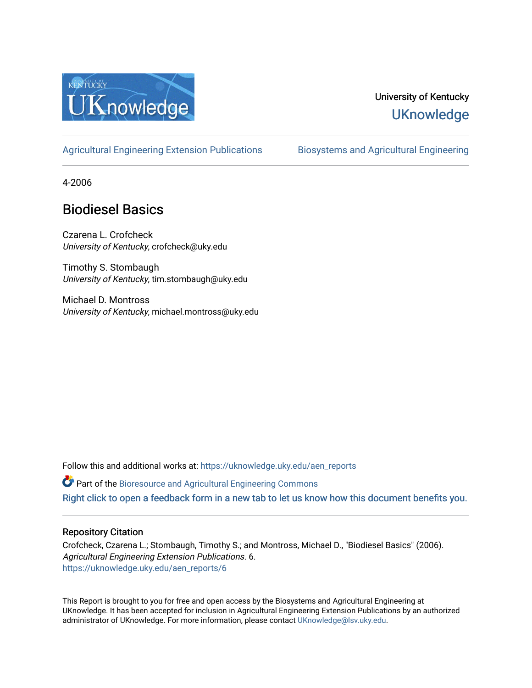

# University of Kentucky **UKnowledge**

#### [Agricultural Engineering Extension Publications](https://uknowledge.uky.edu/aen_reports) Biosystems and Agricultural Engineering

4-2006

# Biodiesel Basics

Czarena L. Crofcheck University of Kentucky, crofcheck@uky.edu

Timothy S. Stombaugh University of Kentucky, tim.stombaugh@uky.edu

Michael D. Montross University of Kentucky, michael.montross@uky.edu

Follow this and additional works at: [https://uknowledge.uky.edu/aen\\_reports](https://uknowledge.uky.edu/aen_reports?utm_source=uknowledge.uky.edu%2Faen_reports%2F6&utm_medium=PDF&utm_campaign=PDFCoverPages)

Part of the [Bioresource and Agricultural Engineering Commons](http://network.bepress.com/hgg/discipline/1056?utm_source=uknowledge.uky.edu%2Faen_reports%2F6&utm_medium=PDF&utm_campaign=PDFCoverPages)

[Right click to open a feedback form in a new tab to let us know how this document benefits you.](https://uky.az1.qualtrics.com/jfe/form/SV_9mq8fx2GnONRfz7)

#### Repository Citation

Crofcheck, Czarena L.; Stombaugh, Timothy S.; and Montross, Michael D., "Biodiesel Basics" (2006). Agricultural Engineering Extension Publications. 6. [https://uknowledge.uky.edu/aen\\_reports/6](https://uknowledge.uky.edu/aen_reports/6?utm_source=uknowledge.uky.edu%2Faen_reports%2F6&utm_medium=PDF&utm_campaign=PDFCoverPages)

This Report is brought to you for free and open access by the Biosystems and Agricultural Engineering at UKnowledge. It has been accepted for inclusion in Agricultural Engineering Extension Publications by an authorized administrator of UKnowledge. For more information, please contact [UKnowledge@lsv.uky.edu](mailto:UKnowledge@lsv.uky.edu).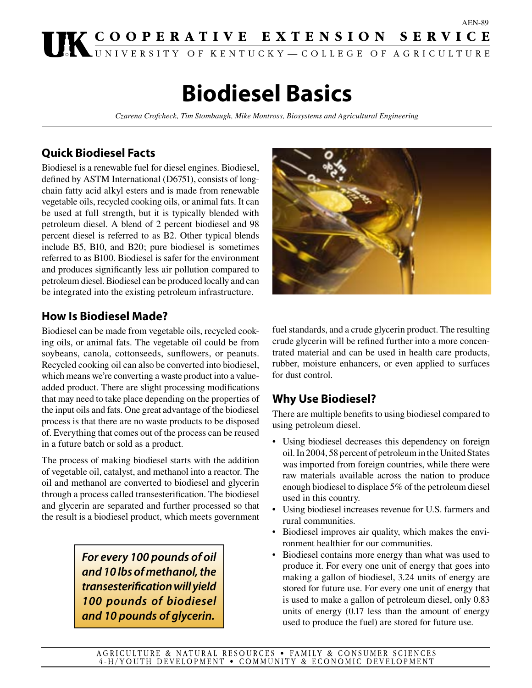# UK COOPERATIVE EXTENSION SERVICE

# **Biodiesel Basics**

*Czarena Crofcheck, Tim Stombaugh, Mike Montross, Biosystems and Agricultural Engineering*

#### **Quick Biodiesel Facts**

Biodiesel is a renewable fuel for diesel engines. Biodiesel, defined by ASTM International (D6751), consists of longchain fatty acid alkyl esters and is made from renewable vegetable oils, recycled cooking oils, or animal fats. It can be used at full strength, but it is typically blended with petroleum diesel. A blend of 2 percent biodiesel and 98 percent diesel is referred to as B2. Other typical blends include B5, B10, and B20; pure biodiesel is sometimes referred to as B100. Biodiesel is safer for the environment and produces significantly less air pollution compared to petroleum diesel. Biodiesel can be produced locally and can be integrated into the existing petroleum infrastructure.

#### **How Is Biodiesel Made?**

Biodiesel can be made from vegetable oils, recycled cooking oils, or animal fats. The vegetable oil could be from soybeans, canola, cottonseeds, sunflowers, or peanuts. Recycled cooking oil can also be converted into biodiesel, which means we're converting a waste product into a valueadded product. There are slight processing modifications that may need to take place depending on the properties of the input oils and fats. One great advantage of the biodiesel process is that there are no waste products to be disposed of. Everything that comes out of the process can be reused in a future batch or sold as a product.

The process of making biodiesel starts with the addition of vegetable oil, catalyst, and methanol into a reactor. The oil and methanol are converted to biodiesel and glycerin through a process called transesterification. The biodiesel and glycerin are separated and further processed so that the result is a biodiesel product, which meets government

> *For every 100 pounds of oil and 10 lbs of methanol, the transesterification will yield 100 pounds of biodiesel and 10 pounds of glycerin.*



AEN-89

fuel standards, and a crude glycerin product. The resulting crude glycerin will be refined further into a more concentrated material and can be used in health care products, rubber, moisture enhancers, or even applied to surfaces for dust control.

#### **Why Use Biodiesel?**

There are multiple benefits to using biodiesel compared to using petroleum diesel.

- Using biodiesel decreases this dependency on foreign oil. In 2004, 58 percent of petroleum in the United States was imported from foreign countries, while there were raw materials available across the nation to produce enough biodiesel to displace 5% of the petroleum diesel used in this country.
- Using biodiesel increases revenue for U.S. farmers and rural communities.
- Biodiesel improves air quality, which makes the environment healthier for our communities.
- Biodiesel contains more energy than what was used to produce it. For every one unit of energy that goes into making a gallon of biodiesel, 3.24 units of energy are stored for future use. For every one unit of energy that is used to make a gallon of petroleum diesel, only 0.83 units of energy (0.17 less than the amount of energy used to produce the fuel) are stored for future use.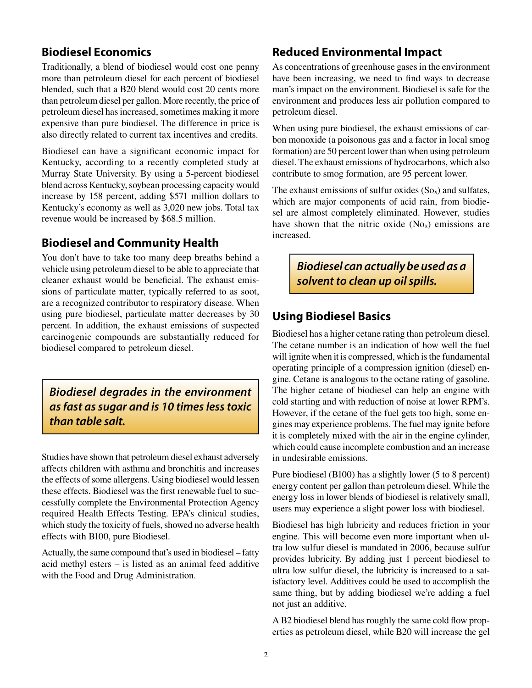#### **Biodiesel Economics**

Traditionally, a blend of biodiesel would cost one penny more than petroleum diesel for each percent of biodiesel blended, such that a B20 blend would cost 20 cents more than petroleum diesel per gallon. More recently, the price of petroleum diesel has increased, sometimes making it more expensive than pure biodiesel. The difference in price is also directly related to current tax incentives and credits.

Biodiesel can have a significant economic impact for Kentucky, according to a recently completed study at Murray State University. By using a 5-percent biodiesel blend across Kentucky, soybean processing capacity would increase by 158 percent, adding \$571 million dollars to Kentucky's economy as well as 3,020 new jobs. Total tax revenue would be increased by \$68.5 million.

#### **Biodiesel and Community Health**

You don't have to take too many deep breaths behind a vehicle using petroleum diesel to be able to appreciate that cleaner exhaust would be beneficial. The exhaust emissions of particulate matter, typically referred to as soot, are a recognized contributor to respiratory disease. When using pure biodiesel, particulate matter decreases by 30 percent. In addition, the exhaust emissions of suspected carcinogenic compounds are substantially reduced for biodiesel compared to petroleum diesel.

*Biodiesel degrades in the environment as fast as sugar and is 10 times less toxic than table salt.*

Studies have shown that petroleum diesel exhaust adversely affects children with asthma and bronchitis and increases the effects of some allergens. Using biodiesel would lessen these effects. Biodiesel was the first renewable fuel to successfully complete the Environmental Protection Agency required Health Effects Testing. EPA's clinical studies, which study the toxicity of fuels, showed no adverse health effects with B100, pure Biodiesel.

Actually, the same compound that's used in biodiesel – fatty acid methyl esters – is listed as an animal feed additive with the Food and Drug Administration.

#### **Reduced Environmental Impact**

As concentrations of greenhouse gases in the environment have been increasing, we need to find ways to decrease man's impact on the environment. Biodiesel is safe for the environment and produces less air pollution compared to petroleum diesel.

When using pure biodiesel, the exhaust emissions of carbon monoxide (a poisonous gas and a factor in local smog formation) are 50 percent lower than when using petroleum diesel. The exhaust emissions of hydrocarbons, which also contribute to smog formation, are 95 percent lower.

The exhaust emissions of sulfur oxides  $(S_{\alpha})$  and sulfates, which are major components of acid rain, from biodiesel are almost completely eliminated. However, studies have shown that the nitric oxide  $(N<sub>Ox</sub>)$  emissions are increased.

### *Biodiesel can actually be used as a solvent to clean up oil spills.*

#### **Using Biodiesel Basics**

Biodiesel has a higher cetane rating than petroleum diesel. The cetane number is an indication of how well the fuel will ignite when it is compressed, which is the fundamental operating principle of a compression ignition (diesel) engine. Cetane is analogous to the octane rating of gasoline. The higher cetane of biodiesel can help an engine with cold starting and with reduction of noise at lower RPM's. However, if the cetane of the fuel gets too high, some engines may experience problems. The fuel may ignite before it is completely mixed with the air in the engine cylinder, which could cause incomplete combustion and an increase in undesirable emissions.

Pure biodiesel (B100) has a slightly lower (5 to 8 percent) energy content per gallon than petroleum diesel. While the energy loss in lower blends of biodiesel is relatively small, users may experience a slight power loss with biodiesel.

Biodiesel has high lubricity and reduces friction in your engine. This will become even more important when ultra low sulfur diesel is mandated in 2006, because sulfur provides lubricity. By adding just 1 percent biodiesel to ultra low sulfur diesel, the lubricity is increased to a satisfactory level. Additives could be used to accomplish the same thing, but by adding biodiesel we're adding a fuel not just an additive.

A B2 biodiesel blend has roughly the same cold flow properties as petroleum diesel, while B20 will increase the gel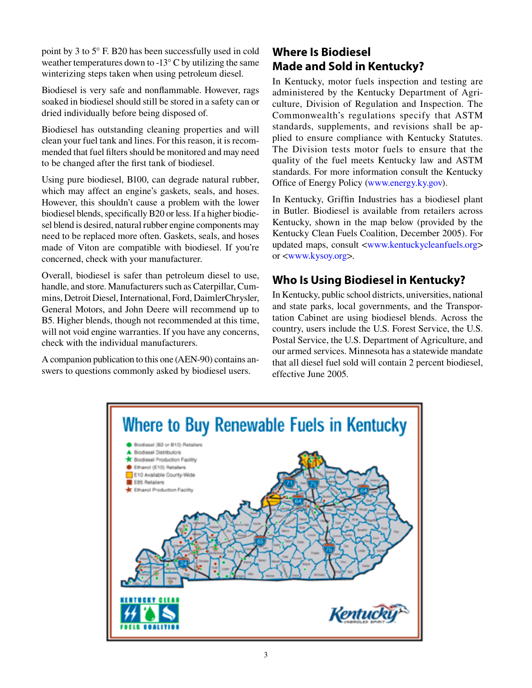point by 3 to 5° F. B20 has been successfully used in cold weather temperatures down to -13° C by utilizing the same winterizing steps taken when using petroleum diesel.

Biodiesel is very safe and nonflammable. However, rags soaked in biodiesel should still be stored in a safety can or dried individually before being disposed of.

Biodiesel has outstanding cleaning properties and will clean your fuel tank and lines. For this reason, it is recommended that fuel filters should be monitored and may need to be changed after the first tank of biodiesel.

Using pure biodiesel, B100, can degrade natural rubber, which may affect an engine's gaskets, seals, and hoses. However, this shouldn't cause a problem with the lower biodiesel blends, specifically B20 or less. If a higher biodiesel blend is desired, natural rubber engine components may need to be replaced more often. Gaskets, seals, and hoses made of Viton are compatible with biodiesel. If you're concerned, check with your manufacturer.

Overall, biodiesel is safer than petroleum diesel to use, handle, and store. Manufacturers such as Caterpillar, Cummins, Detroit Diesel, International, Ford, DaimlerChrysler, General Motors, and John Deere will recommend up to B5. Higher blends, though not recommended at this time, will not void engine warranties. If you have any concerns, check with the individual manufacturers.

A companion publication to this one (AEN-90) contains answers to questions commonly asked by biodiesel users.

## **Where Is Biodiesel Made and Sold in Kentucky?**

In Kentucky, motor fuels inspection and testing are administered by the Kentucky Department of Agriculture, Division of Regulation and Inspection. The Commonwealth's regulations specify that ASTM standards, supplements, and revisions shall be applied to ensure compliance with Kentucky Statutes. The Division tests motor fuels to ensure that the quality of the fuel meets Kentucky law and ASTM standards. For more information consult the Kentucky Office of Energy Policy [\(www.energy.ky.gov\)](http://www.energy.ky.gov).

In Kentucky, Griffin Industries has a biodiesel plant in Butler. Biodiesel is available from retailers across Kentucky, shown in the map below (provided by the Kentucky Clean Fuels Coalition, December 2005). For updated maps, consult <[www.kentuckycleanfuels.org>](http://www.kentuckycleanfuels.org) or <[www.kysoy.org>](http://www.kysoy.org).

#### **Who Is Using Biodiesel in Kentucky?**

In Kentucky, public school districts, universities, national and state parks, local governments, and the Transportation Cabinet are using biodiesel blends. Across the country, users include the U.S. Forest Service, the U.S. Postal Service, the U.S. Department of Agriculture, and our armed services. Minnesota has a statewide mandate that all diesel fuel sold will contain 2 percent biodiesel, effective June 2005.